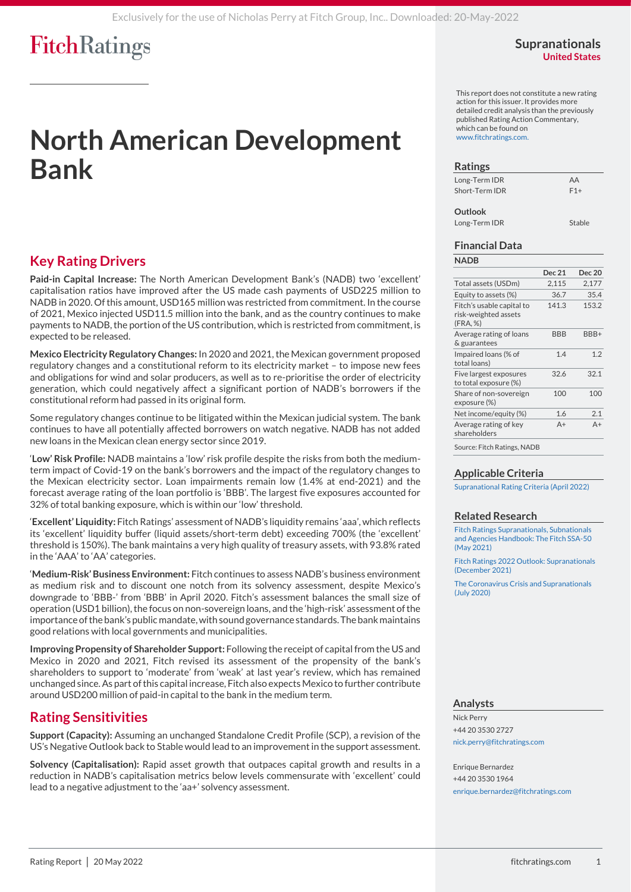### **Supranationals United States**

# **North American Development Bank**

## **Key Rating Drivers**

**Paid-in Capital Increase:** The North American Development Bank's (NADB) two 'excellent' capitalisation ratios have improved after the US made cash payments of USD225 million to NADB in 2020. Of this amount, USD165 million was restricted from commitment. In the course of 2021, Mexico injected USD11.5 million into the bank, and as the country continues to make payments to NADB, the portion of the US contribution, which is restricted from commitment, is expected to be released.

**Mexico Electricity Regulatory Changes:** In 2020 and 2021, the Mexican government proposed regulatory changes and a constitutional reform to its electricity market – to impose new fees and obligations for wind and solar producers, as well as to re-prioritise the order of electricity generation, which could negatively affect a significant portion of NADB's borrowers if the constitutional reform had passed in its original form.

Some regulatory changes continue to be litigated within the Mexican judicial system. The bank continues to have all potentially affected borrowers on watch negative. NADB has not added new loans in the Mexican clean energy sector since 2019.

'**Low' Risk Profile:** NADB maintains a 'low' risk profile despite the risks from both the mediumterm impact of Covid-19 on the bank's borrowers and the impact of the regulatory changes to the Mexican electricity sector. Loan impairments remain low (1.4% at end-2021) and the forecast average rating of the loan portfolio is 'BBB'. The largest five exposures accounted for 32% of total banking exposure, which is within our 'low' threshold.

'**Excellent' Liquidity:** Fitch Ratings' assessment of NADB's liquidity remains 'aaa', which reflects its 'excellent' liquidity buffer (liquid assets/short-term debt) exceeding 700% (the 'excellent' threshold is 150%). The bank maintains a very high quality of treasury assets, with 93.8% rated in the 'AAA' to 'AA' categories.

'**Medium-Risk'Business Environment:** Fitch continues to assess NADB's business environment as medium risk and to discount one notch from its solvency assessment, despite Mexico's downgrade to 'BBB-' from 'BBB' in April 2020. Fitch's assessment balances the small size of operation (USD1 billion), the focus on non-sovereign loans, and the 'high-risk' assessment of the importance of the bank's public mandate,with sound governance standards. The bank maintains good relations with local governments and municipalities.

**Improving Propensity of Shareholder Support:** Following the receipt of capital from the US and Mexico in 2020 and 2021, Fitch revised its assessment of the propensity of the bank's shareholders to support to 'moderate' from 'weak' at last year's review, which has remained unchanged since. As part of this capital increase, Fitch also expects Mexico to further contribute around USD200 million of paid-in capital to the bank in the medium term.

## **Rating Sensitivities**

**Support (Capacity):** Assuming an unchanged Standalone Credit Profile (SCP), a revision of the US's Negative Outlook back to Stable would lead to an improvement in the support assessment.

**Solvency (Capitalisation):** Rapid asset growth that outpaces capital growth and results in a reduction in NADB's capitalisation metrics below levels commensurate with 'excellent' could lead to a negative adjustment to the 'aa+' solvency assessment.

This report does not constitute a new rating action for this issuer. It provides more detailed credit analysis than the previously published Rating Action Commentary, which can be found o[n](https://www.fitchratings.com/) [www.fitchratings.com.](https://www.fitchratings.com/)

#### **Ratings**

| Long-Term IDR  | AA    |
|----------------|-------|
| Short-Term IDR | $F1+$ |
|                |       |

Long-Term IDR Stable

## **Financial Data**

#### **NADB**

**Outlook**

| ,,,,,,                                                        |               |        |
|---------------------------------------------------------------|---------------|--------|
|                                                               | <b>Dec 21</b> | Dec 20 |
| Total assets (USDm)                                           | 2,115         | 2,177  |
| Equity to assets (%)                                          | 36.7          | 35.4   |
| Fitch's usable capital to<br>risk-weighted assets<br>(FRA, %) | 141.3         | 153.2  |
| Average rating of loans<br>& guarantees                       | <b>BBB</b>    | BBB+   |
| Impaired loans (% of<br>total loans)                          | 1.4           | 1.2    |
| Five largest exposures<br>to total exposure (%)               | 32.6          | 32.1   |
| Share of non-sovereign<br>exposure (%)                        | 100           | 100    |
| Net income/equity (%)                                         | 1.6           | 2.1    |
| Average rating of key<br>shareholders                         | A+            | $A+$   |
|                                                               |               |        |

Source: Fitch Ratings, NADB

#### **Applicable Criteria**

[Supranational Rating Criteria \(April 2022\)](https://app.fitchconnect.com/search/research/article/FR_RPT_10197917?jwt=eyJhbGciOiJIUzUxMiJ9.eyJzdWIiOiJ3YXRlcm1hcmsiLCJ1c2VySUQiOiI2Njh4UmZyVVV0Y0lBU3pHSkNuUndzIiwiZG9jSUQiOiJGUl9SUFRfMTAyMDI0NTEiLCJVVUlEIjoiZTNlZjkyYzAtYWIwZS00MWVmLTkyY2QtZDAxN2E1NDEyODZlIiwiY2xpZW50SUQiOiIyVWdmalN2RW4xMFA5TDVZMVFkWFFoIiwidGltZXN0YW1wIjp7Im5hbm8iOjE4Njg1MzAwMCwieWVhciI6MjAyMiwibW9udGhWYWx1ZSI6NSwiZGF5T2ZNb250aCI6MjAsImhvdXIiOjE2LCJtaW51dGUiOjYsInNlY29uZCI6NDAsImRheU9mV2VlayI6IkZSSURBWSIsImRheU9mWWVhciI6MTQwLCJtb250aCI6Ik1BWSIsImNocm9ub2xvZ3kiOnsiaWQiOiJJU08iLCJjYWxlbmRhclR5cGUiOiJpc284NjAxIn19fQ.Pk1ChJfaJeEtB7uH4CV0PoaMtu5PRE2HdUovY-OymzkbFdsC-iHRQ19CR0XXKcPXGhngZClKCQy7NRKU2W2M5A)

#### **Related Research**

[Fitch Ratings Supranationals, Subnationals](https://app.fitchconnect.com/search/research/article/FR_RPT_10163588?jwt=eyJhbGciOiJIUzUxMiJ9.eyJzdWIiOiJ3YXRlcm1hcmsiLCJ1c2VySUQiOiI2Njh4UmZyVVV0Y0lBU3pHSkNuUndzIiwiZG9jSUQiOiJGUl9SUFRfMTAyMDI0NTEiLCJVVUlEIjoiZTNlZjkyYzAtYWIwZS00MWVmLTkyY2QtZDAxN2E1NDEyODZlIiwiY2xpZW50SUQiOiIyVWdmalN2RW4xMFA5TDVZMVFkWFFoIiwidGltZXN0YW1wIjp7Im5hbm8iOjE4Njg1MzAwMCwieWVhciI6MjAyMiwibW9udGhWYWx1ZSI6NSwiZGF5T2ZNb250aCI6MjAsImhvdXIiOjE2LCJtaW51dGUiOjYsInNlY29uZCI6NDAsImRheU9mV2VlayI6IkZSSURBWSIsImRheU9mWWVhciI6MTQwLCJtb250aCI6Ik1BWSIsImNocm9ub2xvZ3kiOnsiaWQiOiJJU08iLCJjYWxlbmRhclR5cGUiOiJpc284NjAxIn19fQ.Pk1ChJfaJeEtB7uH4CV0PoaMtu5PRE2HdUovY-OymzkbFdsC-iHRQ19CR0XXKcPXGhngZClKCQy7NRKU2W2M5A)  [and Agencies Handbook: The Fitch SSA-50](https://app.fitchconnect.com/search/research/article/FR_RPT_10163588?jwt=eyJhbGciOiJIUzUxMiJ9.eyJzdWIiOiJ3YXRlcm1hcmsiLCJ1c2VySUQiOiI2Njh4UmZyVVV0Y0lBU3pHSkNuUndzIiwiZG9jSUQiOiJGUl9SUFRfMTAyMDI0NTEiLCJVVUlEIjoiZTNlZjkyYzAtYWIwZS00MWVmLTkyY2QtZDAxN2E1NDEyODZlIiwiY2xpZW50SUQiOiIyVWdmalN2RW4xMFA5TDVZMVFkWFFoIiwidGltZXN0YW1wIjp7Im5hbm8iOjE4Njg1MzAwMCwieWVhciI6MjAyMiwibW9udGhWYWx1ZSI6NSwiZGF5T2ZNb250aCI6MjAsImhvdXIiOjE2LCJtaW51dGUiOjYsInNlY29uZCI6NDAsImRheU9mV2VlayI6IkZSSURBWSIsImRheU9mWWVhciI6MTQwLCJtb250aCI6Ik1BWSIsImNocm9ub2xvZ3kiOnsiaWQiOiJJU08iLCJjYWxlbmRhclR5cGUiOiJpc284NjAxIn19fQ.Pk1ChJfaJeEtB7uH4CV0PoaMtu5PRE2HdUovY-OymzkbFdsC-iHRQ19CR0XXKcPXGhngZClKCQy7NRKU2W2M5A)  [\(May 2021\)](https://app.fitchconnect.com/search/research/article/FR_RPT_10163588?jwt=eyJhbGciOiJIUzUxMiJ9.eyJzdWIiOiJ3YXRlcm1hcmsiLCJ1c2VySUQiOiI2Njh4UmZyVVV0Y0lBU3pHSkNuUndzIiwiZG9jSUQiOiJGUl9SUFRfMTAyMDI0NTEiLCJVVUlEIjoiZTNlZjkyYzAtYWIwZS00MWVmLTkyY2QtZDAxN2E1NDEyODZlIiwiY2xpZW50SUQiOiIyVWdmalN2RW4xMFA5TDVZMVFkWFFoIiwidGltZXN0YW1wIjp7Im5hbm8iOjE4Njg1MzAwMCwieWVhciI6MjAyMiwibW9udGhWYWx1ZSI6NSwiZGF5T2ZNb250aCI6MjAsImhvdXIiOjE2LCJtaW51dGUiOjYsInNlY29uZCI6NDAsImRheU9mV2VlayI6IkZSSURBWSIsImRheU9mWWVhciI6MTQwLCJtb250aCI6Ik1BWSIsImNocm9ub2xvZ3kiOnsiaWQiOiJJU08iLCJjYWxlbmRhclR5cGUiOiJpc284NjAxIn19fQ.Pk1ChJfaJeEtB7uH4CV0PoaMtu5PRE2HdUovY-OymzkbFdsC-iHRQ19CR0XXKcPXGhngZClKCQy7NRKU2W2M5A)

[Fitch Ratings 2022 Outlook: Supranationals](https://app.fitchconnect.com/search/research/article/FR_RPT_10185760?jwt=eyJhbGciOiJIUzUxMiJ9.eyJzdWIiOiJ3YXRlcm1hcmsiLCJ1c2VySUQiOiI2Njh4UmZyVVV0Y0lBU3pHSkNuUndzIiwiZG9jSUQiOiJGUl9SUFRfMTAyMDI0NTEiLCJVVUlEIjoiZTNlZjkyYzAtYWIwZS00MWVmLTkyY2QtZDAxN2E1NDEyODZlIiwiY2xpZW50SUQiOiIyVWdmalN2RW4xMFA5TDVZMVFkWFFoIiwidGltZXN0YW1wIjp7Im5hbm8iOjE4Njg1MzAwMCwieWVhciI6MjAyMiwibW9udGhWYWx1ZSI6NSwiZGF5T2ZNb250aCI6MjAsImhvdXIiOjE2LCJtaW51dGUiOjYsInNlY29uZCI6NDAsImRheU9mV2VlayI6IkZSSURBWSIsImRheU9mWWVhciI6MTQwLCJtb250aCI6Ik1BWSIsImNocm9ub2xvZ3kiOnsiaWQiOiJJU08iLCJjYWxlbmRhclR5cGUiOiJpc284NjAxIn19fQ.Pk1ChJfaJeEtB7uH4CV0PoaMtu5PRE2HdUovY-OymzkbFdsC-iHRQ19CR0XXKcPXGhngZClKCQy7NRKU2W2M5A)  [\(December 2021\)](https://app.fitchconnect.com/search/research/article/FR_RPT_10185760?jwt=eyJhbGciOiJIUzUxMiJ9.eyJzdWIiOiJ3YXRlcm1hcmsiLCJ1c2VySUQiOiI2Njh4UmZyVVV0Y0lBU3pHSkNuUndzIiwiZG9jSUQiOiJGUl9SUFRfMTAyMDI0NTEiLCJVVUlEIjoiZTNlZjkyYzAtYWIwZS00MWVmLTkyY2QtZDAxN2E1NDEyODZlIiwiY2xpZW50SUQiOiIyVWdmalN2RW4xMFA5TDVZMVFkWFFoIiwidGltZXN0YW1wIjp7Im5hbm8iOjE4Njg1MzAwMCwieWVhciI6MjAyMiwibW9udGhWYWx1ZSI6NSwiZGF5T2ZNb250aCI6MjAsImhvdXIiOjE2LCJtaW51dGUiOjYsInNlY29uZCI6NDAsImRheU9mV2VlayI6IkZSSURBWSIsImRheU9mWWVhciI6MTQwLCJtb250aCI6Ik1BWSIsImNocm9ub2xvZ3kiOnsiaWQiOiJJU08iLCJjYWxlbmRhclR5cGUiOiJpc284NjAxIn19fQ.Pk1ChJfaJeEtB7uH4CV0PoaMtu5PRE2HdUovY-OymzkbFdsC-iHRQ19CR0XXKcPXGhngZClKCQy7NRKU2W2M5A)

[The Coronavirus Crisis and Supranationals](https://app.fitchconnect.com/search/research/article/FR_RPT_10128097?jwt=eyJhbGciOiJIUzUxMiJ9.eyJzdWIiOiJ3YXRlcm1hcmsiLCJ1c2VySUQiOiI2Njh4UmZyVVV0Y0lBU3pHSkNuUndzIiwiZG9jSUQiOiJGUl9SUFRfMTAyMDI0NTEiLCJVVUlEIjoiZTNlZjkyYzAtYWIwZS00MWVmLTkyY2QtZDAxN2E1NDEyODZlIiwiY2xpZW50SUQiOiIyVWdmalN2RW4xMFA5TDVZMVFkWFFoIiwidGltZXN0YW1wIjp7Im5hbm8iOjE4Njg1MzAwMCwieWVhciI6MjAyMiwibW9udGhWYWx1ZSI6NSwiZGF5T2ZNb250aCI6MjAsImhvdXIiOjE2LCJtaW51dGUiOjYsInNlY29uZCI6NDAsImRheU9mV2VlayI6IkZSSURBWSIsImRheU9mWWVhciI6MTQwLCJtb250aCI6Ik1BWSIsImNocm9ub2xvZ3kiOnsiaWQiOiJJU08iLCJjYWxlbmRhclR5cGUiOiJpc284NjAxIn19fQ.Pk1ChJfaJeEtB7uH4CV0PoaMtu5PRE2HdUovY-OymzkbFdsC-iHRQ19CR0XXKcPXGhngZClKCQy7NRKU2W2M5A)  [\(July 2020\)](https://app.fitchconnect.com/search/research/article/FR_RPT_10128097?jwt=eyJhbGciOiJIUzUxMiJ9.eyJzdWIiOiJ3YXRlcm1hcmsiLCJ1c2VySUQiOiI2Njh4UmZyVVV0Y0lBU3pHSkNuUndzIiwiZG9jSUQiOiJGUl9SUFRfMTAyMDI0NTEiLCJVVUlEIjoiZTNlZjkyYzAtYWIwZS00MWVmLTkyY2QtZDAxN2E1NDEyODZlIiwiY2xpZW50SUQiOiIyVWdmalN2RW4xMFA5TDVZMVFkWFFoIiwidGltZXN0YW1wIjp7Im5hbm8iOjE4Njg1MzAwMCwieWVhciI6MjAyMiwibW9udGhWYWx1ZSI6NSwiZGF5T2ZNb250aCI6MjAsImhvdXIiOjE2LCJtaW51dGUiOjYsInNlY29uZCI6NDAsImRheU9mV2VlayI6IkZSSURBWSIsImRheU9mWWVhciI6MTQwLCJtb250aCI6Ik1BWSIsImNocm9ub2xvZ3kiOnsiaWQiOiJJU08iLCJjYWxlbmRhclR5cGUiOiJpc284NjAxIn19fQ.Pk1ChJfaJeEtB7uH4CV0PoaMtu5PRE2HdUovY-OymzkbFdsC-iHRQ19CR0XXKcPXGhngZClKCQy7NRKU2W2M5A)

#### **Analysts**

Nick Perry +44 20 3530 2727 [nick.perry@fitchratings.com](mailto:nick.perry@fitchratings.com)

Enrique Bernardez +44 20 3530 1964 [enrique.bernardez@fitchratings.com](mailto:enrique.bernardez@fitchratings.com)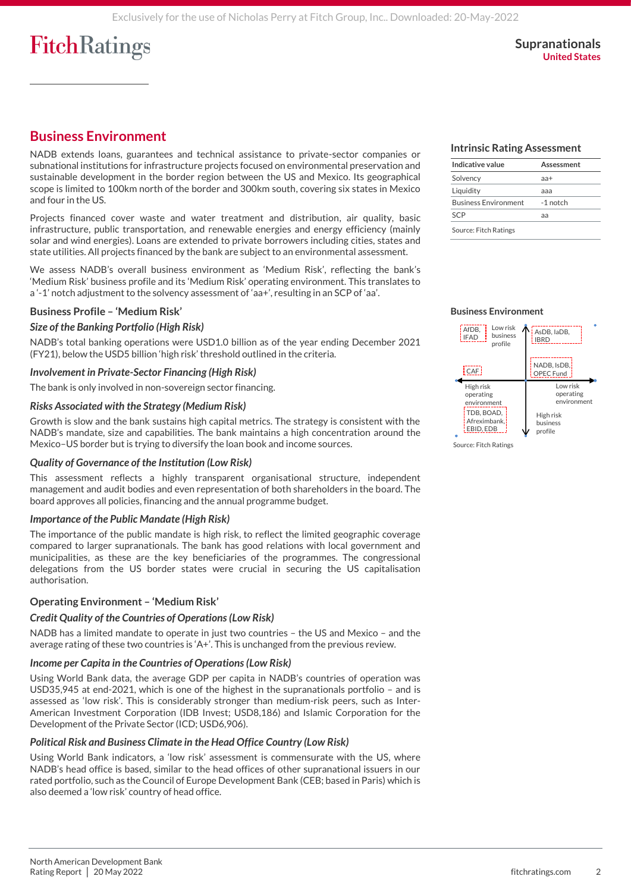## **Business Environment**

NADB extends loans, guarantees and technical assistance to private-sector companies or subnational institutions for infrastructure projects focused on environmental preservation and sustainable development in the border region between the US and Mexico. Its geographical scope is limited to 100km north of the border and 300km south, covering six states in Mexico and four in the US.

Projects financed cover waste and water treatment and distribution, air quality, basic infrastructure, public transportation, and renewable energies and energy efficiency (mainly solar and wind energies). Loans are extended to private borrowers including cities, states and state utilities. All projects financed by the bank are subject to an environmental assessment.

We assess NADB's overall business environment as 'Medium Risk', reflecting the bank's 'Medium Risk' business profile and its 'Medium Risk' operating environment. This translates to a '-1' notch adjustment to the solvency assessment of 'aa+', resulting in an SCP of 'aa'.

#### **Business Profile – 'Medium Risk'**

#### *Size of the Banking Portfolio (High Risk)*

NADB's total banking operations were USD1.0 billion as of the year ending December 2021 (FY21), below the USD5 billion 'high risk' threshold outlined in the criteria.

#### *Involvement in Private-Sector Financing (High Risk)*

The bank is only involved in non-sovereign sector financing.

#### *Risks Associated with the Strategy (Medium Risk)*

Growth is slow and the bank sustains high capital metrics. The strategy is consistent with the NADB's mandate, size and capabilities. The bank maintains a high concentration around the Mexico–US border but is trying to diversify the loan book and income sources.

#### *Quality of Governance of the Institution (Low Risk)*

This assessment reflects a highly transparent organisational structure, independent management and audit bodies and even representation of both shareholders in the board. The board approves all policies, financing and the annual programme budget.

#### *Importance of the Public Mandate (High Risk)*

The importance of the public mandate is high risk, to reflect the limited geographic coverage compared to larger supranationals. The bank has good relations with local government and municipalities, as these are the key beneficiaries of the programmes. The congressional delegations from the US border states were crucial in securing the US capitalisation authorisation.

#### **Operating Environment – 'Medium Risk'**

#### *Credit Quality of the Countries of Operations (Low Risk)*

NADB has a limited mandate to operate in just two countries – the US and Mexico – and the average rating of these two countries is 'A+'. This is unchanged from the previous review.

#### *Income per Capita in the Countries of Operations (Low Risk)*

Using World Bank data, the average GDP per capita in NADB's countries of operation was USD35,945 at end-2021, which is one of the highest in the supranationals portfolio – and is assessed as 'low risk'. This is considerably stronger than medium-risk peers, such as Inter-American Investment Corporation (IDB Invest; USD8,186) and Islamic Corporation for the Development of the Private Sector (ICD; USD6,906).

#### *Political Risk and Business Climate in the Head Office Country (Low Risk)*

Using World Bank indicators, a 'low risk' assessment is commensurate with the US, where NADB's head office is based, similar to the head offices of other supranational issuers in our rated portfolio, such as the Council of Europe Development Bank (CEB; based in Paris) which is also deemed a 'low risk' country of head office.

#### **Intrinsic Rating Assessment**

| Indicative value            | Assessment |
|-----------------------------|------------|
| Solvency                    | $a +$      |
| Liquidity                   | aaa        |
| <b>Business Environment</b> | -1 notch   |
| SCP                         | aа         |
| Source: Fitch Ratings       |            |

#### **Business Environment**



Source: Fitch Ratings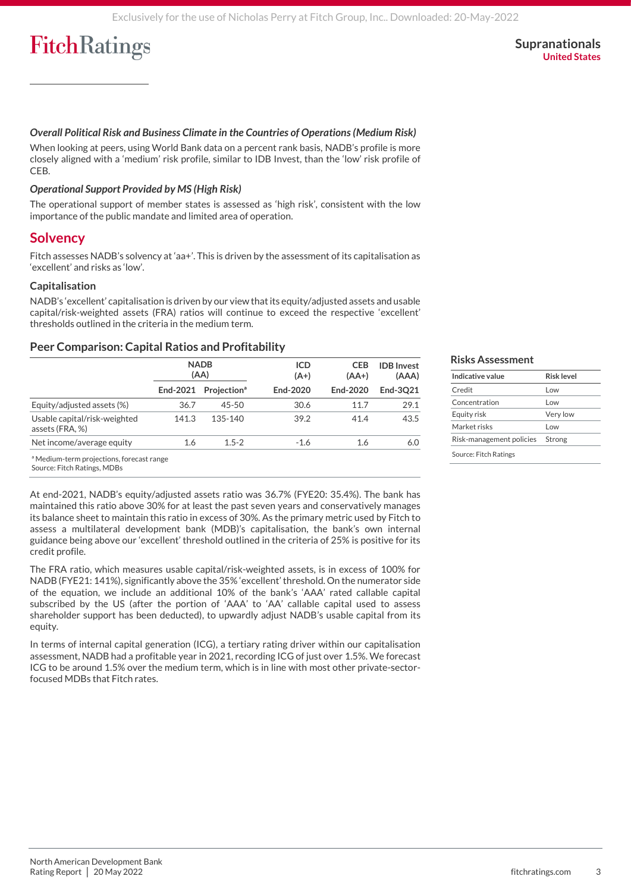#### **Supranationals United States**

#### *Overall Political Risk and Business Climate in the Countries of Operations (Medium Risk)*

When looking at peers, using World Bank data on a percent rank basis, NADB's profile is more closely aligned with a 'medium' risk profile, similar to IDB Invest, than the 'low' risk profile of CEB.

#### *Operational Support Provided by MS (High Risk)*

The operational support of member states is assessed as 'high risk', consistent with the low importance of the public mandate and limited area of operation.

#### **Solvency**

Fitch assesses NADB's solvency at 'aa+'. This is driven by the assessment of its capitalisation as 'excellent' and risks as 'low'.

#### **Capitalisation**

NADB's 'excellent' capitalisation is driven by our view that its equity/adjusted assets and usable capital/risk-weighted assets (FRA) ratios will continue to exceed the respective 'excellent' thresholds outlined in the criteria in the medium term.

#### **Peer Comparison: Capital Ratios and Profitability**

|                                                     | <b>NADB</b><br>(AA) |                                |          |          | <b>ICD</b><br>$(A+)$ | <b>CEB</b><br>$(AA+)$ | <b>IDB</b> Invest<br>(AAA) |
|-----------------------------------------------------|---------------------|--------------------------------|----------|----------|----------------------|-----------------------|----------------------------|
|                                                     | End-2021            | <b>Projection</b> <sup>ª</sup> | End-2020 | End-2020 | End-3021             |                       |                            |
| Equity/adjusted assets (%)                          | 36.7                | $45 - 50$                      | 30.6     | 11.7     | 29.1                 |                       |                            |
| Usable capital/risk-weighted<br>assets (FRA, %)     | 141.3               | 135-140                        | 39.2     | 41.4     | 43.5                 |                       |                            |
| Net income/average equity                           | 1.6                 | $1.5 - 2$                      | $-1.6$   | 1.6      | 6.0                  |                       |                            |
| <sup>a</sup> Medium-term projections forecast range |                     |                                |          |          |                      |                       |                            |

#### **Risks Assessment**

| Indicative value         | <b>Risk level</b> |
|--------------------------|-------------------|
| Credit                   | l ow              |
| Concentration            | l ow              |
| Equity risk              | Very low          |
| Market risks             | l ow              |
| Risk-management policies | Strong            |
| Source: Fitch Ratings    |                   |

ª Medium-term projections, forecast range

Source: Fitch Ratings, MDBs

At end-2021, NADB's equity/adjusted assets ratio was 36.7% (FYE20: 35.4%). The bank has maintained this ratio above 30% for at least the past seven years and conservatively manages its balance sheet to maintain this ratio in excess of 30%. As the primary metric used by Fitch to assess a multilateral development bank (MDB)'s capitalisation, the bank's own internal guidance being above our 'excellent' threshold outlined in the criteria of 25% is positive for its credit profile.

The FRA ratio, which measures usable capital/risk-weighted assets, is in excess of 100% for NADB (FYE21: 141%), significantly above the 35% 'excellent' threshold. On the numerator side of the equation, we include an additional 10% of the bank's 'AAA' rated callable capital subscribed by the US (after the portion of 'AAA' to 'AA' callable capital used to assess shareholder support has been deducted), to upwardly adjust NADB's usable capital from its equity.

In terms of internal capital generation (ICG), a tertiary rating driver within our capitalisation assessment, NADB had a profitable year in 2021, recording ICG of just over 1.5%. We forecast ICG to be around 1.5% over the medium term, which is in line with most other private-sectorfocused MDBs that Fitch rates.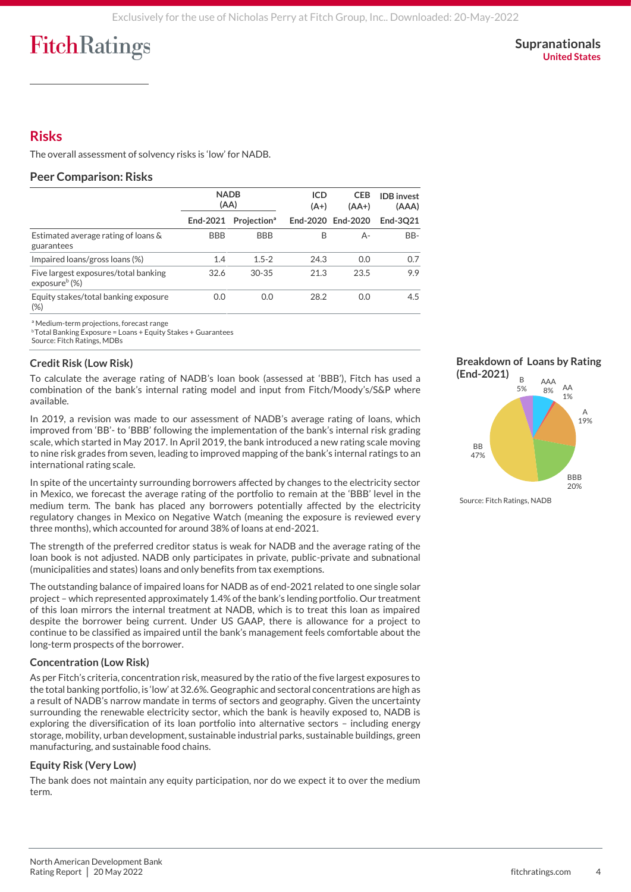**Supranationals United States**

## **Risks**

The overall assessment of solvency risks is 'low' for NADB.

#### **Peer Comparison: Risks**

|                                                                       | <b>NADB</b><br>(AA) |                         | <b>ICD</b><br>$(A+)$ | <b>CEB</b><br>$(AA+)$ | <b>IDB</b> invest<br>(AAA) |
|-----------------------------------------------------------------------|---------------------|-------------------------|----------------------|-----------------------|----------------------------|
|                                                                       | End-2021            | Projection <sup>a</sup> |                      | End-2020 End-2020     | End-3021                   |
| Estimated average rating of loans &<br>guarantees                     | <b>BBB</b>          | <b>BBB</b>              | B                    | А-                    | BB-                        |
| Impaired loans/gross loans (%)                                        | 1.4                 | $1.5 - 2$               | 24.3                 | 0.0                   | 0.7                        |
| Five largest exposures/total banking<br>exposure $\frac{b}{\sqrt{2}}$ | 32.6                | $30 - 35$               | 21.3                 | 23.5                  | 9.9                        |
| Equity stakes/total banking exposure<br>$(\%)$                        | 0.0                 | 0.0                     | 28.2                 | 0.0                   | 4.5                        |

ª Medium-term projections, forecast range

<sup>b</sup>Total Banking Exposure = Loans + Equity Stakes + Guarantees

Source: Fitch Ratings, MDBs

#### **Credit Risk (Low Risk)**

To calculate the average rating of NADB's loan book (assessed at 'BBB'), Fitch has used a combination of the bank's internal rating model and input from Fitch/Moody's/S&P where available.

In 2019, a revision was made to our assessment of NADB's average rating of loans, which improved from 'BB'- to 'BBB' following the implementation of the bank's internal risk grading scale, which started in May 2017. In April 2019, the bank introduced a new rating scale moving to nine risk grades from seven, leading to improved mapping of the bank's internal ratings to an international rating scale.

In spite of the uncertainty surrounding borrowers affected by changes to the electricity sector in Mexico, we forecast the average rating of the portfolio to remain at the 'BBB' level in the medium term. The bank has placed any borrowers potentially affected by the electricity regulatory changes in Mexico on Negative Watch (meaning the exposure is reviewed every three months), which accounted for around 38% of loans at end-2021.

The strength of the preferred creditor status is weak for NADB and the average rating of the loan book is not adjusted. NADB only participates in private, public-private and subnational (municipalities and states) loans and only benefits from tax exemptions.

The outstanding balance of impaired loans for NADB as of end-2021 related to one single solar project – which represented approximately 1.4% of the bank's lending portfolio. Our treatment of this loan mirrors the internal treatment at NADB, which is to treat this loan as impaired despite the borrower being current. Under US GAAP, there is allowance for a project to continue to be classified as impaired until the bank's management feels comfortable about the long-term prospects of the borrower.

#### **Concentration (Low Risk)**

As per Fitch's criteria, concentration risk, measured by the ratio of the five largest exposures to the total banking portfolio, is 'low' at 32.6%. Geographic and sectoral concentrations are high as a result of NADB's narrow mandate in terms of sectors and geography. Given the uncertainty surrounding the renewable electricity sector, which the bank is heavily exposed to, NADB is exploring the diversification of its loan portfolio into alternative sectors – including energy storage, mobility, urban development, sustainable industrial parks, sustainable buildings, green manufacturing, and sustainable food chains.

#### **Equity Risk (Very Low)**

The bank does not maintain any equity participation, nor do we expect it to over the medium term.



20%

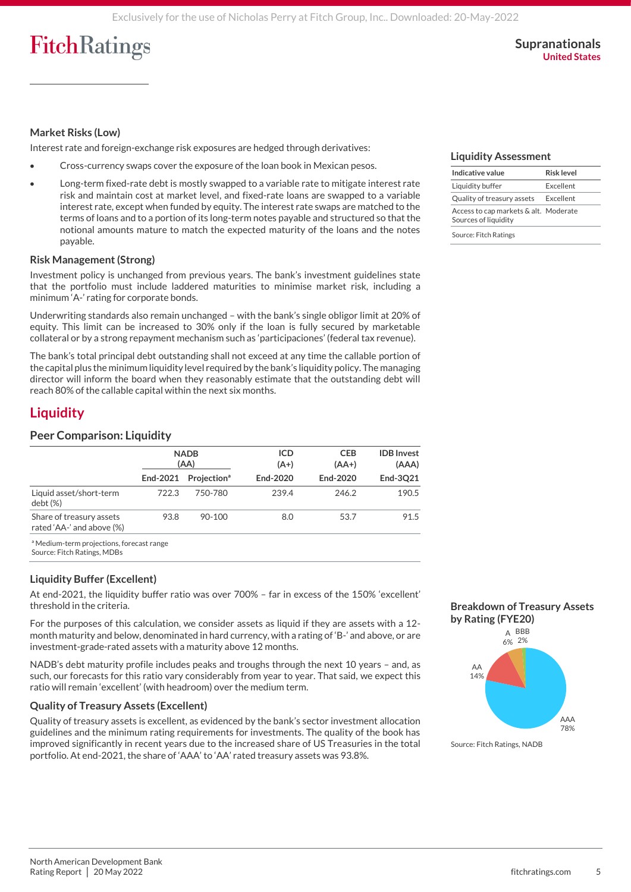#### **Market Risks (Low)**

Interest rate and foreign-exchange risk exposures are hedged through derivatives:

- Cross-currency swaps cover the exposure of the loan book in Mexican pesos.
- Long-term fixed-rate debt is mostly swapped to a variable rate to mitigate interest rate risk and maintain cost at market level, and fixed-rate loans are swapped to a variable interest rate, except when funded by equity. The interest rate swaps are matched to the terms of loans and to a portion of its long-term notes payable and structured so that the notional amounts mature to match the expected maturity of the loans and the notes payable.

#### **Risk Management (Strong)**

Investment policy is unchanged from previous years. The bank's investment guidelines state that the portfolio must include laddered maturities to minimise market risk, including a minimum 'A-' rating for corporate bonds.

Underwriting standards also remain unchanged – with the bank's single obligor limit at 20% of equity. This limit can be increased to 30% only if the loan is fully secured by marketable collateral or by a strong repayment mechanism such as 'participaciones' (federal tax revenue).

The bank's total principal debt outstanding shall not exceed at any time the callable portion of the capital plus the minimum liquidity level required by the bank's liquidity policy. The managing director will inform the board when they reasonably estimate that the outstanding debt will reach 80% of the callable capital within the next six months.

## **Liquidity**

#### **Peer Comparison: Liquidity**

|                                                       | <b>NADB</b><br>(AA) |                                |          |          | <b>ICD</b><br>$(A+)$ | <b>CEB</b><br>$(AA+)$ | <b>IDB</b> Invest<br>(AAA) |
|-------------------------------------------------------|---------------------|--------------------------------|----------|----------|----------------------|-----------------------|----------------------------|
|                                                       | End-2021            | <b>Projection</b> <sup>ª</sup> | End-2020 | End-2020 | End-3021             |                       |                            |
| Liquid asset/short-term<br>$debt (\%)$                | 722.3               | 750-780                        | 239.4    | 246.2    | 190.5                |                       |                            |
| Share of treasury assets<br>rated 'AA-' and above (%) | 93.8                | 90-100                         | 8.0      | 53.7     | 91.5                 |                       |                            |
|                                                       |                     |                                |          |          |                      |                       |                            |

ª Medium-term projections, forecast range Source: Fitch Ratings, MDBs

#### **Liquidity Buffer (Excellent)**

At end-2021, the liquidity buffer ratio was over 700% – far in excess of the 150% 'excellent' threshold in the criteria.

For the purposes of this calculation, we consider assets as liquid if they are assets with a 12 month maturity and below, denominated in hard currency, with a rating of 'B-' and above, or are investment-grade-rated assets with a maturity above 12 months.

NADB's debt maturity profile includes peaks and troughs through the next 10 years – and, as such, our forecasts for this ratio vary considerably from year to year. That said, we expect this ratio will remain 'excellent' (with headroom) over the medium term.

#### **Quality of Treasury Assets (Excellent)**

Quality of treasury assets is excellent, as evidenced by the bank's sector investment allocation guidelines and the minimum rating requirements for investments. The quality of the book has improved significantly in recent years due to the increased share of US Treasuries in the total portfolio. At end-2021, the share of 'AAA' to 'AA' rated treasury assets was 93.8%.

#### **Liquidity Assessment**

| Indicative value                                              | Risk level |
|---------------------------------------------------------------|------------|
| Liquidity buffer                                              | Excellent  |
| Quality of treasury assets                                    | Excellent  |
| Access to cap markets & alt. Moderate<br>Sources of liquidity |            |

Source: Fitch Ratings





Source: Fitch Ratings, NADB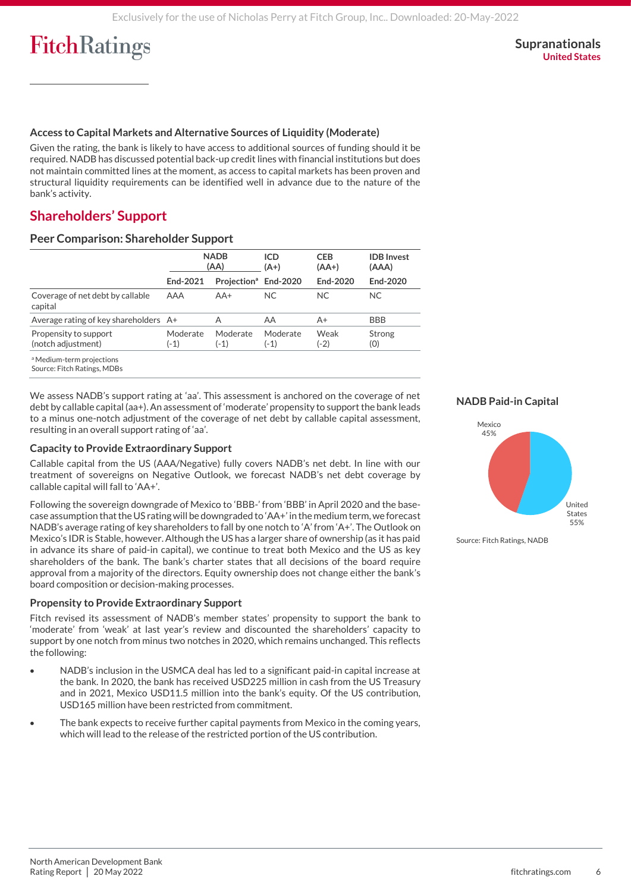#### **Access to Capital Markets and Alternative Sources of Liquidity (Moderate)**

Given the rating, the bank is likely to have access to additional sources of funding should it be required. NADB has discussed potential back-up credit lines with financial institutions but does not maintain committed lines at the moment, as access to capital markets has been proven and structural liquidity requirements can be identified well in advance due to the nature of the bank's activity.

### **Shareholders' Support**

#### **Peer Comparison: Shareholder Support**

|                                             | <b>NADB</b><br>(AA) |                                  | <b>ICD</b><br>$(A+)$ | <b>CEB</b><br>$(AA+)$ | <b>IDB</b> Invest<br>(AAA) |
|---------------------------------------------|---------------------|----------------------------------|----------------------|-----------------------|----------------------------|
|                                             | End-2021            | Projection <sup>ª</sup> End-2020 |                      | End-2020              | End-2020                   |
| Coverage of net debt by callable<br>capital | AAA                 | $AA+$                            | <b>NC</b>            | <b>NC</b>             | <b>NC</b>                  |
| Average rating of key shareholders A+       |                     | А                                | AA                   | A+                    | <b>BBB</b>                 |
| Propensity to support<br>(notch adjustment) | Moderate<br>$(-1)$  | Moderate<br>$(-1)$               | Moderate<br>(-1)     | Weak<br>(-2)          | Strong<br>(0)              |
| <sup>a</sup> Medium-term projections        |                     |                                  |                      |                       |                            |

Source: Fitch Ratings, MDBs

We assess NADB's support rating at 'aa'. This assessment is anchored on the coverage of net debt by callable capital (aa+). An assessment of 'moderate' propensity to support the bank leads to a minus one-notch adjustment of the coverage of net debt by callable capital assessment, resulting in an overall support rating of 'aa'.

#### **Capacity to Provide Extraordinary Support**

Callable capital from the US (AAA/Negative) fully covers NADB's net debt. In line with our treatment of sovereigns on Negative Outlook, we forecast NADB's net debt coverage by callable capital will fall to 'AA+'.

Following the sovereign downgrade of Mexico to 'BBB-' from 'BBB' in April 2020 and the basecase assumption that the US rating will be downgraded to 'AA+' in the medium term, we forecast NADB's average rating of key shareholders to fall by one notch to 'A' from 'A+'. The Outlook on Mexico's IDR is Stable, however. Although the US has a larger share of ownership (as it has paid in advance its share of paid-in capital), we continue to treat both Mexico and the US as key shareholders of the bank. The bank's charter states that all decisions of the board require approval from a majority of the directors. Equity ownership does not change either the bank's board composition or decision-making processes.

#### **Propensity to Provide Extraordinary Support**

Fitch revised its assessment of NADB's member states' propensity to support the bank to 'moderate' from 'weak' at last year's review and discounted the shareholders' capacity to support by one notch from minus two notches in 2020, which remains unchanged. This reflects the following:

- NADB's inclusion in the USMCA deal has led to a significant paid-in capital increase at the bank. In 2020, the bank has received USD225 million in cash from the US Treasury and in 2021, Mexico USD11.5 million into the bank's equity. Of the US contribution, USD165 million have been restricted from commitment.
- The bank expects to receive further capital payments from Mexico in the coming years, which will lead to the release of the restricted portion of the US contribution.

#### **NADB Paid-in Capital**



Source: Fitch Ratings, NADB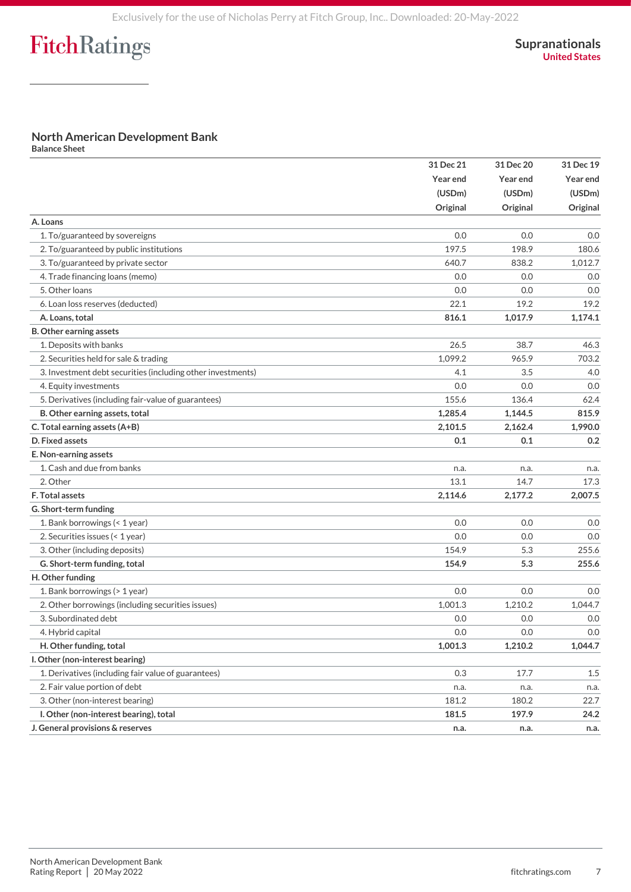### **North American Development Bank**

**Balance Sheet**

|                                                             | 31 Dec 21       | 31 Dec 20 | 31 Dec 19<br>Year end<br>(USDm) |
|-------------------------------------------------------------|-----------------|-----------|---------------------------------|
|                                                             | <b>Year end</b> | Year end  |                                 |
|                                                             | (USDm)          | (USDm)    |                                 |
|                                                             | Original        | Original  | Original                        |
| A. Loans                                                    |                 |           |                                 |
| 1. To/guaranteed by sovereigns                              | 0.0             | 0.0       | 0.0                             |
| 2. To/guaranteed by public institutions                     | 197.5           | 198.9     | 180.6                           |
| 3. To/guaranteed by private sector                          | 640.7           | 838.2     | 1,012.7                         |
| 4. Trade financing loans (memo)                             | 0.0             | 0.0       | 0.0                             |
| 5. Other loans                                              | 0.0             | 0.0       | 0.0                             |
| 6. Loan loss reserves (deducted)                            | 22.1            | 19.2      | 19.2                            |
| A. Loans, total                                             | 816.1           | 1,017.9   | 1,174.1                         |
| <b>B. Other earning assets</b>                              |                 |           |                                 |
| 1. Deposits with banks                                      | 26.5            | 38.7      | 46.3                            |
| 2. Securities held for sale & trading                       | 1,099.2         | 965.9     | 703.2                           |
| 3. Investment debt securities (including other investments) | 4.1             | 3.5       | 4.0                             |
| 4. Equity investments                                       | 0.0             | 0.0       | 0.0                             |
| 5. Derivatives (including fair-value of guarantees)         | 155.6           | 136.4     | 62.4                            |
| B. Other earning assets, total                              | 1,285.4         | 1,144.5   | 815.9                           |
| C. Total earning assets (A+B)                               | 2,101.5         | 2,162.4   | 1,990.0                         |
| D. Fixed assets                                             | 0.1             | 0.1       | 0.2                             |
| E. Non-earning assets                                       |                 |           |                                 |
| 1. Cash and due from banks                                  | n.a.            | n.a.      | n.a.                            |
| 2. Other                                                    | 13.1            | 14.7      | 17.3                            |
| F. Total assets                                             | 2,114.6         | 2,177.2   | 2,007.5                         |
| G. Short-term funding                                       |                 |           |                                 |
| 1. Bank borrowings (< 1 year)                               | 0.0             | 0.0       | 0.0                             |
| 2. Securities issues (< 1 year)                             | 0.0             | 0.0       | 0.0                             |
| 3. Other (including deposits)                               | 154.9           | 5.3       | 255.6                           |
| G. Short-term funding, total                                | 154.9           | 5.3       | 255.6                           |
| H. Other funding                                            |                 |           |                                 |
| 1. Bank borrowings (> 1 year)                               | 0.0             | 0.0       | 0.0                             |
| 2. Other borrowings (including securities issues)           | 1,001.3         | 1,210.2   | 1,044.7                         |
| 3. Subordinated debt                                        | 0.0             | 0.0       | 0.0                             |
| 4. Hybrid capital                                           | 0.0             | 0.0       | 0.0                             |
| H. Other funding, total                                     | 1,001.3         | 1,210.2   | 1,044.7                         |
| I. Other (non-interest bearing)                             |                 |           |                                 |
| 1. Derivatives (including fair value of guarantees)         | 0.3             | 17.7      | 1.5                             |
| 2. Fair value portion of debt                               | n.a.            | n.a.      | n.a.                            |
| 3. Other (non-interest bearing)                             | 181.2           | 180.2     | 22.7                            |
| I. Other (non-interest bearing), total                      | 181.5           | 197.9     | 24.2                            |
| J. General provisions & reserves                            | n.a.            | n.a.      | n.a.                            |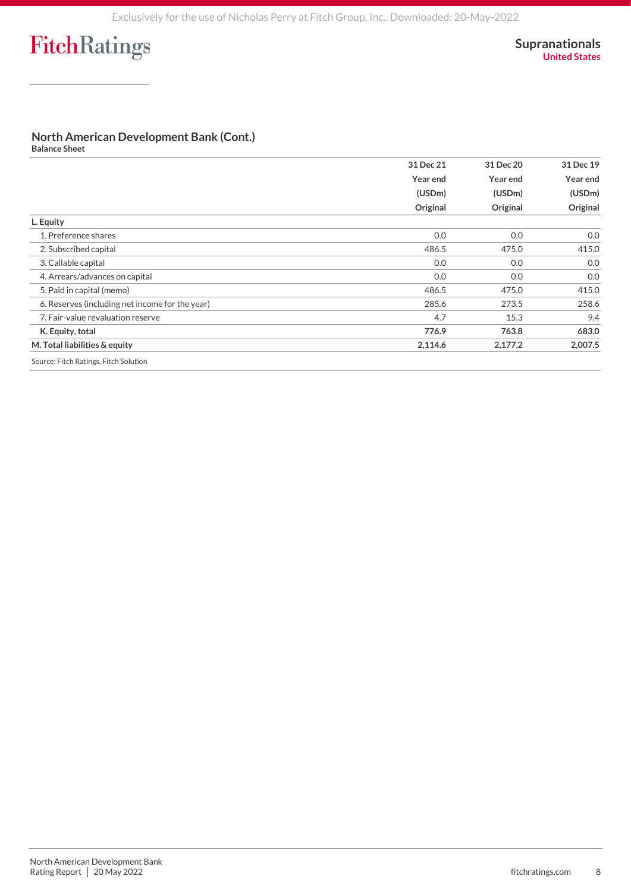### **North American Development Bank (Cont.)**

**Balance Sheet**

|                                                 | 31 Dec 21 | 31 Dec 20          | 31 Dec 19<br>Year end<br>(USDm) |
|-------------------------------------------------|-----------|--------------------|---------------------------------|
|                                                 | Year end  | Year end           |                                 |
|                                                 | (USDm)    | (USDm)<br>Original |                                 |
|                                                 | Original  |                    | Original                        |
| L. Equity                                       |           |                    |                                 |
| 1. Preference shares                            | 0.0       | 0.0                | 0.0                             |
| 2. Subscribed capital                           | 486.5     | 475.0              | 415.0                           |
| 3. Callable capital                             | 0.0       | 0.0                | 0.0                             |
| 4. Arrears/advances on capital                  | 0.0       | 0.0                | 0.0                             |
| 5. Paid in capital (memo)                       | 486.5     | 475.0              | 415.0                           |
| 6. Reserves (including net income for the year) | 285.6     | 273.5              | 258.6                           |
| 7. Fair-value revaluation reserve               | 4.7       | 15.3               | 9.4                             |
| K. Equity, total                                | 776.9     | 763.8              | 683.0                           |
| M. Total liabilities & equity                   | 2,114.6   | 2,177.2            | 2,007.5                         |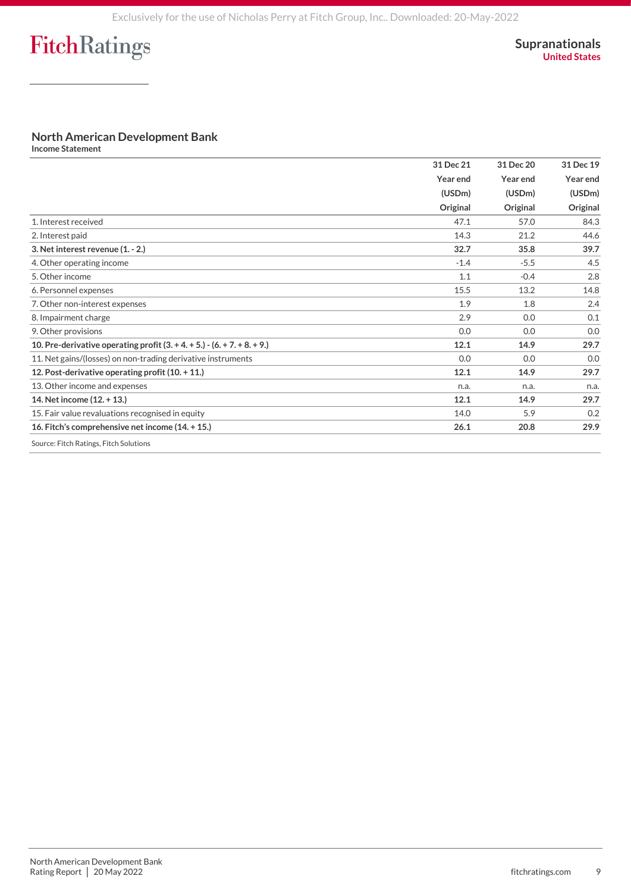### **North American Development Bank**

**Income Statement**

|                                                                            | 31 Dec 21 | 31 Dec 20<br>Year end<br>(USDm) | 31 Dec 19<br>Year end<br>(USDm) |
|----------------------------------------------------------------------------|-----------|---------------------------------|---------------------------------|
|                                                                            | Year end  |                                 |                                 |
|                                                                            | (USDm)    |                                 |                                 |
|                                                                            | Original  | Original                        | Original                        |
| 1. Interest received                                                       | 47.1      | 57.0                            | 84.3                            |
| 2. Interest paid                                                           | 14.3      | 21.2                            | 44.6                            |
| 3. Net interest revenue (1. - 2.)                                          | 32.7      | 35.8                            | 39.7                            |
| 4. Other operating income                                                  | $-1.4$    | $-5.5$                          | 4.5                             |
| 5. Other income                                                            | 1.1       | $-0.4$                          | 2.8                             |
| 6. Personnel expenses                                                      | 15.5      | 13.2                            | 14.8                            |
| 7. Other non-interest expenses                                             | 1.9       | 1.8                             | 2.4                             |
| 8. Impairment charge                                                       | 2.9       | 0.0                             | 0.1                             |
| 9. Other provisions                                                        | 0.0       | 0.0                             | 0.0                             |
| 10. Pre-derivative operating profit $(3. + 4. + 5.) - (6. + 7. + 8. + 9.)$ | 12.1      | 14.9                            | 29.7                            |
| 11. Net gains/(losses) on non-trading derivative instruments               | 0.0       | 0.0                             | 0.0                             |
| 12. Post-derivative operating profit $(10. + 11.)$                         | 12.1      | 14.9                            | 29.7                            |
| 13. Other income and expenses                                              | n.a.      | n.a.                            | n.a.                            |
| 14. Net income (12. + 13.)                                                 | 12.1      | 14.9                            | 29.7                            |
| 15. Fair value revaluations recognised in equity                           | 14.0      | 5.9                             | 0.2                             |
| 16. Fitch's comprehensive net income (14. + 15.)                           | 26.1      | 20.8                            | 29.9                            |
| Source: Fitch Ratings, Fitch Solutions                                     |           |                                 |                                 |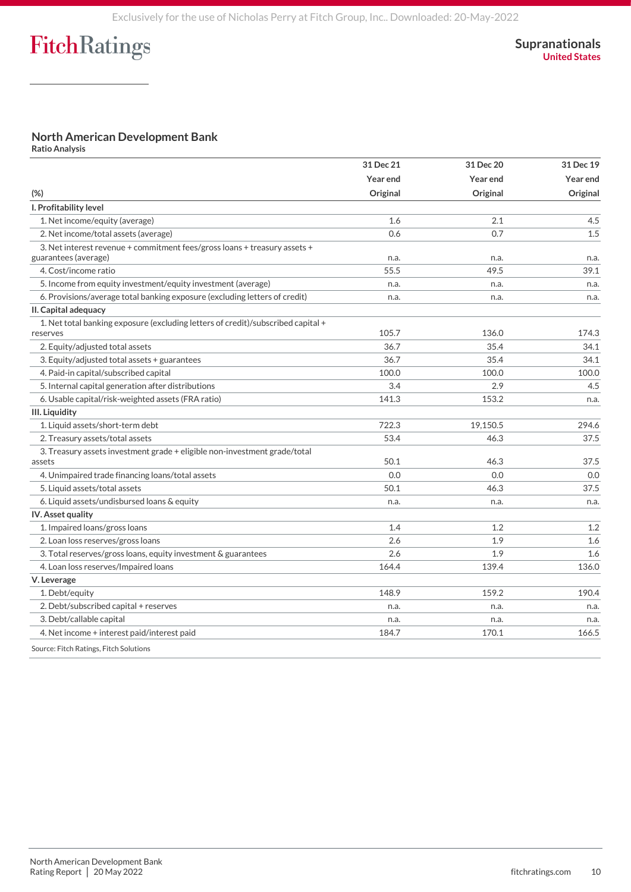## **North American Development Bank**

**Ratio Analysis**

| $(\%)$                                                                                            | 31 Dec 21<br>Year end<br>Original | 31 Dec 20<br>Year end<br>Original | 31 Dec 19<br>Year end<br>Original |                                |     |     |     |
|---------------------------------------------------------------------------------------------------|-----------------------------------|-----------------------------------|-----------------------------------|--------------------------------|-----|-----|-----|
|                                                                                                   |                                   |                                   |                                   | I. Profitability level         |     |     |     |
|                                                                                                   |                                   |                                   |                                   | 1. Net income/equity (average) | 1.6 | 2.1 | 4.5 |
| 2. Net income/total assets (average)                                                              | 0.6                               | 0.7                               | 1.5                               |                                |     |     |     |
| 3. Net interest revenue + commitment fees/gross loans + treasury assets +<br>guarantees (average) | n.a.                              | n.a.                              | n.a.                              |                                |     |     |     |
| 4. Cost/income ratio                                                                              | 55.5                              | 49.5                              | 39.1                              |                                |     |     |     |
| 5. Income from equity investment/equity investment (average)                                      | n.a.                              | n.a.                              | n.a.                              |                                |     |     |     |
| 6. Provisions/average total banking exposure (excluding letters of credit)                        | n.a.                              | n.a.                              | n.a.                              |                                |     |     |     |
| II. Capital adequacy                                                                              |                                   |                                   |                                   |                                |     |     |     |
| 1. Net total banking exposure (excluding letters of credit)/subscribed capital +<br>reserves      | 105.7                             | 136.0                             | 174.3                             |                                |     |     |     |
| 2. Equity/adjusted total assets                                                                   | 36.7                              | 35.4                              | 34.1                              |                                |     |     |     |
| 3. Equity/adjusted total assets + guarantees                                                      | 36.7                              | 35.4                              | 34.1                              |                                |     |     |     |
| 4. Paid-in capital/subscribed capital                                                             | 100.0                             | 100.0                             | 100.0                             |                                |     |     |     |
| 5. Internal capital generation after distributions                                                | 3.4                               | 2.9                               | 4.5                               |                                |     |     |     |
| 6. Usable capital/risk-weighted assets (FRA ratio)                                                | 141.3                             | 153.2                             | n.a.                              |                                |     |     |     |
| III. Liquidity                                                                                    |                                   |                                   |                                   |                                |     |     |     |
| 1. Liquid assets/short-term debt                                                                  | 722.3                             | 19,150.5                          | 294.6                             |                                |     |     |     |
| 2. Treasury assets/total assets                                                                   | 53.4                              | 46.3                              | 37.5                              |                                |     |     |     |
| 3. Treasury assets investment grade + eligible non-investment grade/total<br>assets               | 50.1                              | 46.3                              | 37.5                              |                                |     |     |     |
| 4. Unimpaired trade financing loans/total assets                                                  | 0.0                               | 0.0                               | 0.0                               |                                |     |     |     |
| 5. Liquid assets/total assets                                                                     | 50.1                              | 46.3                              | 37.5                              |                                |     |     |     |
| 6. Liquid assets/undisbursed loans & equity                                                       | n.a.                              | n.a.                              | n.a.                              |                                |     |     |     |
| IV. Asset quality                                                                                 |                                   |                                   |                                   |                                |     |     |     |
| 1. Impaired loans/gross loans                                                                     | 1.4                               | 1.2                               | 1.2                               |                                |     |     |     |
| 2. Loan loss reserves/gross loans                                                                 | 2.6                               | 1.9                               | 1.6                               |                                |     |     |     |
| 3. Total reserves/gross loans, equity investment & guarantees                                     | 2.6                               | 1.9                               | 1.6                               |                                |     |     |     |
| 4. Loan loss reserves/Impaired loans                                                              | 164.4                             | 139.4                             | 136.0                             |                                |     |     |     |
| V. Leverage                                                                                       |                                   |                                   |                                   |                                |     |     |     |
| 1. Debt/equity                                                                                    | 148.9                             | 159.2                             | 190.4                             |                                |     |     |     |
| 2. Debt/subscribed capital + reserves                                                             | n.a.                              | n.a.                              | n.a.                              |                                |     |     |     |
| 3. Debt/callable capital                                                                          | n.a.                              | n.a.                              | n.a.                              |                                |     |     |     |
| 4. Net income + interest paid/interest paid                                                       | 184.7                             | 170.1                             | 166.5                             |                                |     |     |     |
| Source: Fitch Ratings, Fitch Solutions                                                            |                                   |                                   |                                   |                                |     |     |     |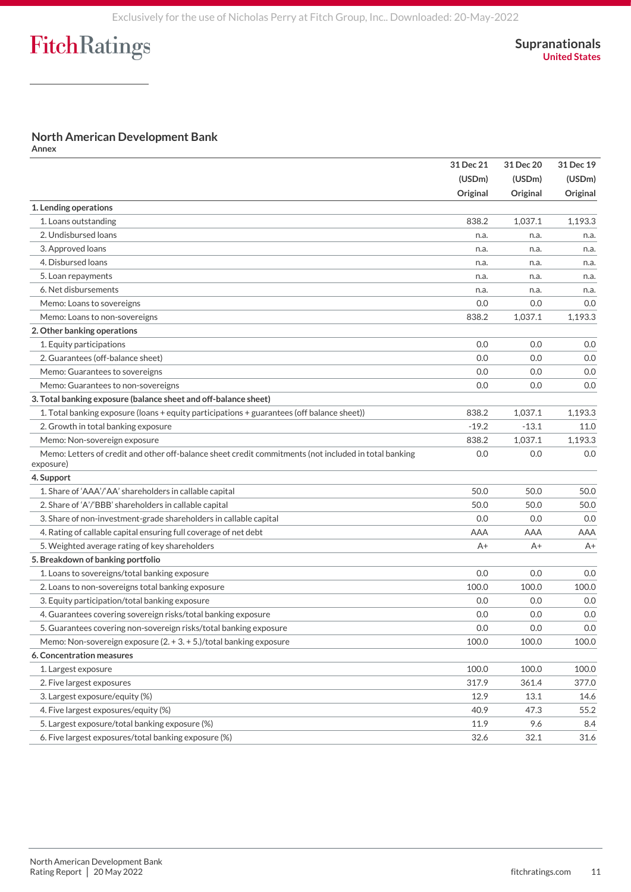### **North American Development Bank**

**Annex**

|                                                                                                                    | 31 Dec 21<br>(USDm)<br>Original | 31 Dec 20<br>(USDm)<br>Original | 31 Dec 19<br>(USDm)<br>Original |
|--------------------------------------------------------------------------------------------------------------------|---------------------------------|---------------------------------|---------------------------------|
|                                                                                                                    |                                 |                                 |                                 |
|                                                                                                                    |                                 |                                 |                                 |
| 1. Lending operations                                                                                              |                                 |                                 |                                 |
| 1. Loans outstanding                                                                                               | 838.2                           | 1.037.1                         | 1,193.3                         |
| 2. Undisbursed loans                                                                                               | n.a.                            | n.a.                            | n.a.                            |
| 3. Approved loans                                                                                                  | n.a.                            | n.a.                            | n.a.                            |
| 4. Disbursed loans                                                                                                 | n.a.                            | n.a.                            | n.a.                            |
| 5. Loan repayments                                                                                                 | n.a.                            | n.a.                            | n.a.                            |
| 6. Net disbursements                                                                                               | n.a.                            | n.a.                            | n.a.                            |
| Memo: Loans to sovereigns                                                                                          | 0.0                             | 0.0                             | 0.0                             |
| Memo: Loans to non-sovereigns                                                                                      | 838.2                           | 1,037.1                         | 1,193.3                         |
| 2. Other banking operations                                                                                        |                                 |                                 |                                 |
| 1. Equity participations                                                                                           | 0.0                             | 0.0                             | 0.0                             |
| 2. Guarantees (off-balance sheet)                                                                                  | 0.0                             | 0.0                             | 0.0                             |
| Memo: Guarantees to sovereigns                                                                                     | 0.0                             | 0.0                             | 0.0                             |
| Memo: Guarantees to non-sovereigns                                                                                 | 0.0                             | 0.0                             | 0.0                             |
| 3. Total banking exposure (balance sheet and off-balance sheet)                                                    |                                 |                                 |                                 |
| 1. Total banking exposure (loans + equity participations + guarantees (off balance sheet))                         | 838.2                           | 1,037.1                         | 1,193.3                         |
| 2. Growth in total banking exposure                                                                                | $-19.2$                         | $-13.1$                         | 11.0                            |
| Memo: Non-sovereign exposure                                                                                       | 838.2                           | 1,037.1                         | 1,193.3                         |
| Memo: Letters of credit and other off-balance sheet credit commitments (not included in total banking<br>exposure) | 0.0                             | 0.0                             | 0.0                             |
| 4. Support                                                                                                         |                                 |                                 |                                 |
| 1. Share of 'AAA'/'AA' shareholders in callable capital                                                            | 50.0                            | 50.0                            | 50.0                            |
| 2. Share of 'A'/'BBB' shareholders in callable capital                                                             | 50.0                            | 50.0                            | 50.0                            |
| 3. Share of non-investment-grade shareholders in callable capital                                                  | 0.0                             | 0.0                             | 0.0                             |
| 4. Rating of callable capital ensuring full coverage of net debt                                                   | AAA                             | AAA                             | AAA                             |
| 5. Weighted average rating of key shareholders                                                                     | $A+$                            | $A+$                            | A+                              |
| 5. Breakdown of banking portfolio                                                                                  |                                 |                                 |                                 |
| 1. Loans to sovereigns/total banking exposure                                                                      | 0.0                             | 0.0                             | 0.0                             |
| 2. Loans to non-sovereigns total banking exposure                                                                  | 100.0                           | 100.0                           | 100.0                           |
| 3. Equity participation/total banking exposure                                                                     | 0.0                             | 0.0                             | 0.0                             |
| 4. Guarantees covering sovereign risks/total banking exposure                                                      | 0.0                             | 0.0                             | 0.0                             |
| 5. Guarantees covering non-sovereign risks/total banking exposure                                                  | 0.0                             | 0.0                             | 0.0                             |
| Memo: Non-sovereign exposure $(2. + 3. + 5.)/$ total banking exposure                                              | 100.0                           | 100.0                           | 100.0                           |
| 6. Concentration measures                                                                                          |                                 |                                 |                                 |
| 1. Largest exposure                                                                                                | 100.0                           | 100.0                           | 100.0                           |
| 2. Five largest exposures                                                                                          | 317.9                           | 361.4                           | 377.0                           |
| 3. Largest exposure/equity (%)                                                                                     | 12.9                            | 13.1                            | 14.6                            |
| 4. Five largest exposures/equity (%)                                                                               | 40.9                            | 47.3                            | 55.2                            |
| 5. Largest exposure/total banking exposure (%)                                                                     | 11.9                            | 9.6                             | 8.4                             |
| 6. Five largest exposures/total banking exposure (%)                                                               | 32.6                            | 32.1                            | 31.6                            |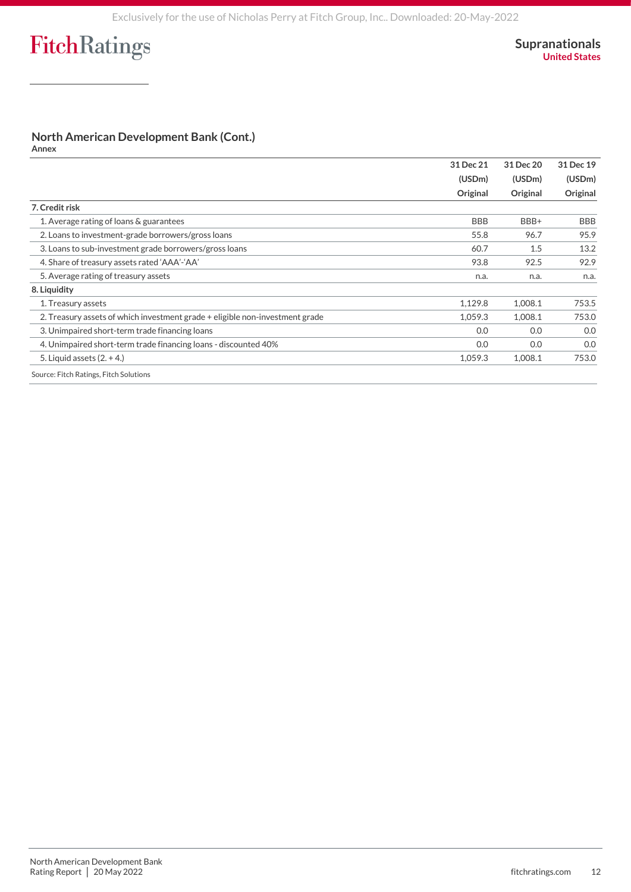### **North American Development Bank (Cont.)**

**Annex**

|                                                                              | 31 Dec 21  | 31 Dec 20<br>(USDm)<br>Original | 31 Dec 19<br>(USDm)<br>Original |
|------------------------------------------------------------------------------|------------|---------------------------------|---------------------------------|
|                                                                              | (USDm)     |                                 |                                 |
|                                                                              | Original   |                                 |                                 |
| 7. Credit risk                                                               |            |                                 |                                 |
| 1. Average rating of loans & guarantees                                      | <b>BBB</b> | BBB+                            | <b>BBB</b>                      |
| 2. Loans to investment-grade borrowers/gross loans                           | 55.8       | 96.7                            | 95.9                            |
| 3. Loans to sub-investment grade borrowers/gross loans                       | 60.7       | 1.5                             | 13.2                            |
| 4. Share of treasury assets rated 'AAA'-'AA'                                 | 93.8       | 92.5                            | 92.9                            |
| 5. Average rating of treasury assets                                         | n.a.       | n.a.                            | n.a.                            |
| 8. Liquidity                                                                 |            |                                 |                                 |
| 1. Treasury assets                                                           | 1,129.8    | 1,008.1                         | 753.5                           |
| 2. Treasury assets of which investment grade + eligible non-investment grade | 1,059.3    | 1,008.1                         | 753.0                           |
| 3. Unimpaired short-term trade financing loans                               | 0.0        | 0.0                             | 0.0                             |
| 4. Unimpaired short-term trade financing loans - discounted 40%              | 0.0        | 0.0                             | 0.0                             |
| 5. Liquid assets $(2. + 4)$                                                  | 1,059.3    | 1,008.1                         | 753.0                           |
| Source: Fitch Ratings, Fitch Solutions                                       |            |                                 |                                 |